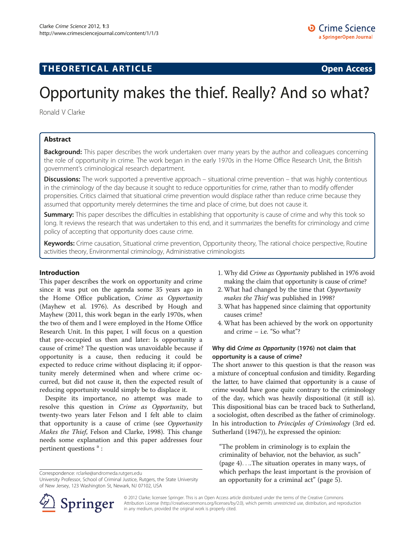## THE ORE TICAL ARTICLE THE OPEN ACCESS

# Opportunity makes the thief. Really? And so what?

Ronald V Clarke

### Abstract

Background: This paper describes the work undertaken over many years by the author and colleagues concerning the role of opportunity in crime. The work began in the early 1970s in the Home Office Research Unit, the British government's criminological research department.

**Discussions:** The work supported a preventive approach – situational crime prevention – that was highly contentious in the criminology of the day because it sought to reduce opportunities for crime, rather than to modify offender propensities. Critics claimed that situational crime prevention would displace rather than reduce crime because they assumed that opportunity merely determines the time and place of crime, but does not cause it.

Summary: This paper describes the difficulties in establishing that opportunity is cause of crime and why this took so long. It reviews the research that was undertaken to this end, and it summarizes the benefits for criminology and crime policy of accepting that opportunity does cause crime.

Keywords: Crime causation, Situational crime prevention, Opportunity theory, The rational choice perspective, Routine activities theory, Environmental criminology, Administrative criminologists

#### Introduction

This paper describes the work on opportunity and crime since it was put on the agenda some 35 years ago in the Home Office publication, Crime as Opportunity (Mayhew et al. [1976](#page-7-0)). As described by Hough and Mayhew [\(2011,](#page-7-0) this work began in the early 1970s, when the two of them and I were employed in the Home Office Research Unit. In this paper, I will focus on a question that pre-occupied us then and later: Is opportunity a cause of crime? The question was unavoidable because if opportunity is a cause, then reducing it could be expected to reduce crime without displacing it; if opportunity merely determined when and where crime occurred, but did not cause it, then the expected result of reducing opportunity would simply be to displace it.

Despite its importance, no attempt was made to resolve this question in Crime as Opportunity, but twenty-two years later Felson and I felt able to claim that opportunity is a cause of crime (see Opportunity Makes the Thief, Felson and Clarke, [1998\)](#page-7-0). This change needs some explanation and this paper addresses four pertinent questions<sup>a</sup>:

Correspondence: [rclarke@andromeda.rutgers.edu](mailto:rclarke@andromeda.rutgers.edu)



- 2. What had changed by the time that Opportunity makes the Thief was published in 1998?
- 3. What has happened since claiming that opportunity causes crime?
- 4. What has been achieved by the work on opportunity and crime – i.e. "So what"?

#### Why did Crime as Opportunity (1976) not claim that opportunity is a cause of crime?

The short answer to this question is that the reason was a mixture of conceptual confusion and timidity. Regarding the latter, to have claimed that opportunity is a cause of crime would have gone quite contrary to the criminology of the day, which was heavily dispositional (it still is). This dispositional bias can be traced back to Sutherland, a sociologist, often described as the father of criminology. In his introduction to Principles of Criminology (3rd ed. Sutherland ([1947\)](#page-8-0)), he expressed the opinion:

"The problem in criminology is to explain the criminality of behavior, not the behavior, as such" (page 4)....The situation operates in many ways, of which perhaps the least important is the provision of an opportunity for a criminal act" (page 5).



© 2012 Clarke; licensee Springer. This is an Open Access article distributed under the terms of the Creative Commons Attribution License [\(http://creativecommons.org/licenses/by/2.0\)](http://creativecommons.org/licenses/by/2.0), which permits unrestricted use, distribution, and reproduction in any medium, provided the original work is properly cited.

University Professor, School of Criminal Justice, Rutgers, the State University of New Jersey, 123 Washington St, Newark, NJ 07102, USA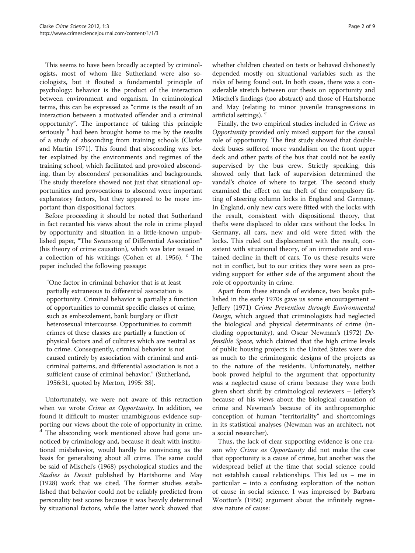This seems to have been broadly accepted by criminologists, most of whom like Sutherland were also sociologists, but it flouted a fundamental principle of psychology: behavior is the product of the interaction between environment and organism. In criminological terms, this can be expressed as "crime is the result of an interaction between a motivated offender and a criminal opportunity". The importance of taking this principle seriously <sup>b</sup> had been brought home to me by the results of a study of absconding from training schools (Clarke and Martin [1971](#page-7-0)). This found that absconding was better explained by the environments and regimes of the training school, which facilitated and provoked absconding, than by absconders' personalities and backgrounds. The study therefore showed not just that situational opportunities and provocations to abscond were important explanatory factors, but they appeared to be more important than dispositional factors.

Before proceeding it should be noted that Sutherland in fact recanted his views about the role in crime played by opportunity and situation in a little-known unpublished paper, "The Swansong of Differential Association" (his theory of crime causation), which was later issued in a collection of his writings (Cohen et al. [1956\)](#page-7-0).  $\textdegree$  The paper included the following passage:

"One factor in criminal behavior that is at least partially extraneous to differential association is opportunity. Criminal behavior is partially a function of opportunities to commit specific classes of crime, such as embezzlement, bank burglary or illicit heterosexual intercourse. Opportunities to commit crimes of these classes are partially a function of physical factors and of cultures which are neutral as to crime. Consequently, criminal behavior is not caused entirely by association with criminal and anticriminal patterns, and differential association is not a sufficient cause of criminal behavior." (Sutherland, [1956](#page-8-0):31, quoted by Merton, [1995:](#page-7-0) 38).

Unfortunately, we were not aware of this retraction when we wrote Crime as Opportunity. In addition, we found it difficult to muster unambiguous evidence supporting our views about the role of opportunity in crime. <sup>d</sup> The absconding work mentioned above had gone unnoticed by criminology and, because it dealt with institutional misbehavior, would hardly be convincing as the basis for generalizing about all crime. The same could be said of Mischel's ([1968](#page-8-0)) psychological studies and the Studies in Deceit published by Hartshorne and May ([1928](#page-7-0)) work that we cited. The former studies established that behavior could not be reliably predicted from personality test scores because it was heavily determined by situational factors, while the latter work showed that

whether children cheated on tests or behaved dishonestly depended mostly on situational variables such as the risks of being found out. In both cases, there was a considerable stretch between our thesis on opportunity and Mischel's findings (too abstract) and those of Hartshorne and May (relating to minor juvenile transgressions in artificial settings).  $e$ 

Finally, the two empirical studies included in Crime as Opportunity provided only mixed support for the causal role of opportunity. The first study showed that doubledeck buses suffered more vandalism on the front upper deck and other parts of the bus that could not be easily supervised by the bus crew. Strictly speaking, this showed only that lack of supervision determined the vandal's choice of where to target. The second study examined the effect on car theft of the compulsory fitting of steering column locks in England and Germany. In England, only new cars were fitted with the locks with the result, consistent with dispositional theory, that thefts were displaced to older cars without the locks. In Germany, all cars, new and old were fitted with the locks. This ruled out displacement with the result, consistent with situational theory, of an immediate and sustained decline in theft of cars. To us these results were not in conflict, but to our critics they were seen as providing support for either side of the argument about the role of opportunity in crime.

Apart from these strands of evidence, two books published in the early 1970s gave us some encouragement – Jeffery ([1971\)](#page-7-0) Crime Prevention through Environmental Design, which argued that criminologists had neglected the biological and physical determinants of crime (including opportunity), and Oscar Newman's [\(1972](#page-8-0)) Defensible Space, which claimed that the high crime levels of public housing projects in the United States were due as much to the criminogenic designs of the projects as to the nature of the residents. Unfortunately, neither book proved helpful to the argument that opportunity was a neglected cause of crime because they were both given short shrift by criminological reviewers – Jeffery's because of his views about the biological causation of crime and Newman's because of its anthropomorphic conception of human "territoriality" and shortcomings in its statistical analyses (Newman was an architect, not a social researcher).

Thus, the lack of clear supporting evidence is one reason why Crime as Opportunity did not make the case that opportunity is a cause of crime, but another was the widespread belief at the time that social science could not establish causal relationships. This led us – me in particular – into a confusing exploration of the notion of cause in social science. I was impressed by Barbara Wootton's [\(1950](#page-8-0)) argument about the infinitely regressive nature of cause: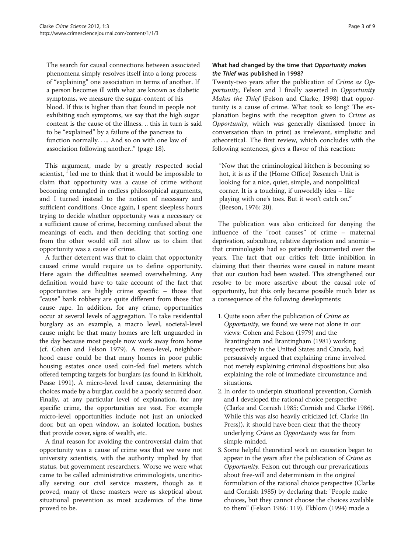The search for causal connections between associated phenomena simply resolves itself into a long process of "explaining" one association in terms of another. If a person becomes ill with what are known as diabetic symptoms, we measure the sugar-content of his blood. If this is higher than that found in people not exhibiting such symptoms, we say that the high sugar content is the cause of the illness. .. this in turn is said to be "explained" by a failure of the pancreas to function normally..... And so on with one law of association following another.." (page 18).

This argument, made by a greatly respected social scientist,  $f$  led me to think that it would be impossible to claim that opportunity was a cause of crime without becoming entangled in endless philosophical arguments, and I turned instead to the notion of necessary and sufficient conditions. Once again, I spent sleepless hours trying to decide whether opportunity was a necessary or a sufficient cause of crime, becoming confused about the meanings of each, and then deciding that sorting one from the other would still not allow us to claim that opportunity was a cause of crime.

A further deterrent was that to claim that opportunity caused crime would require us to define opportunity. Here again the difficulties seemed overwhelming. Any definition would have to take account of the fact that opportunities are highly crime specific – those that "cause" bank robbery are quite different from those that cause rape. In addition, for any crime, opportunities occur at several levels of aggregation. To take residential burglary as an example, a macro level, societal-level cause might be that many homes are left unguarded in the day because most people now work away from home (cf. Cohen and Felson [1979\)](#page-7-0). A meso-level, neighborhood cause could be that many homes in poor public housing estates once used coin-fed fuel meters which offered tempting targets for burglars (as found in Kirkholt, Pease [1991\)](#page-8-0). A micro-level level cause, determining the choices made by a burglar, could be a poorly secured door. Finally, at any particular level of explanation, for any specific crime, the opportunities are vast. For example micro-level opportunities include not just an unlocked door, but an open window, an isolated location, bushes that provide cover, signs of wealth, etc.

A final reason for avoiding the controversial claim that opportunity was a cause of crime was that we were not university scientists, with the authority implied by that status, but government researchers. Worse we were what came to be called administrative criminologists, uncritically serving our civil service masters, though as it proved, many of these masters were as skeptical about situational prevention as most academics of the time proved to be.

#### What had changed by the time that Opportunity makes the Thief was published in 1998?

Twenty-two years after the publication of Crime as Opportunity, Felson and I finally asserted in Opportunity Makes the Thief (Felson and Clarke, [1998\)](#page-7-0) that opportunity is a cause of crime. What took so long? The explanation begins with the reception given to Crime as Opportunity, which was generally dismissed (more in conversation than in print) as irrelevant, simplistic and atheoretical. The first review, which concludes with the following sentences, gives a flavor of this reaction:

"Now that the criminological kitchen is becoming so hot, it is as if the (Home Office) Research Unit is looking for a nice, quiet, simple, and nonpolitical corner. It is a touching, if unworldly idea – like playing with one's toes. But it won't catch on." (Beeson, [1976:](#page-7-0) 20).

The publication was also criticized for denying the influence of the "root causes" of crime – maternal deprivation, subculture, relative deprivation and anomie – that criminologists had so patiently documented over the years. The fact that our critics felt little inhibition in claiming that their theories were causal in nature meant that our caution had been wasted. This strengthened our resolve to be more assertive about the causal role of opportunity, but this only became possible much later as a consequence of the following developments:

- 1. Quite soon after the publication of Crime as Opportunity, we found we were not alone in our views: Cohen and Felson ([1979](#page-7-0)) and the Brantingham and Brantingham ([1981](#page-7-0)) working respectively in the United States and Canada, had persuasively argued that explaining crime involved not merely explaining criminal dispositions but also explaining the role of immediate circumstance and situations.
- 2. In order to underpin situational prevention, Cornish and I developed the rational choice perspective (Clarke and Cornish [1985;](#page-7-0) Cornish and Clarke [1986\)](#page-7-0). While this was also heavily criticized (cf. [Clarke \(In](#page-7-0) [Press\)](#page-7-0)), it should have been clear that the theory underlying Crime as Opportunity was far from simple-minded.
- 3. Some helpful theoretical work on causation began to appear in the years after the publication of Crime as Opportunity. Felson cut through our prevarications about free-will and determinism in the original formulation of the rational choice perspective (Clarke and Cornish [1985\)](#page-7-0) by declaring that: "People make choices, but they cannot choose the choices available to them" (Felson [1986](#page-7-0): 119). Ekblom ([1994\)](#page-7-0) made a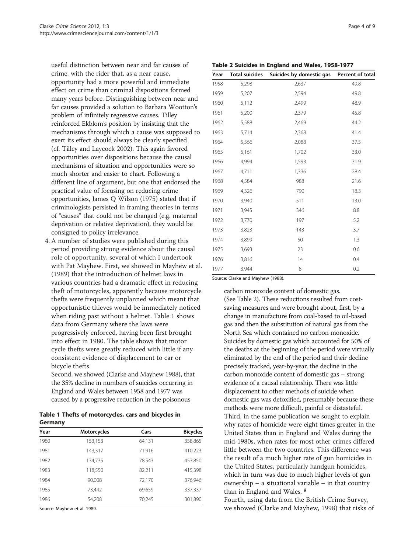useful distinction between near and far causes of crime, with the rider that, as a near cause, opportunity had a more powerful and immediate effect on crime than criminal dispositions formed many years before. Distinguishing between near and far causes provided a solution to Barbara Wootton's problem of infinitely regressive causes. Tilley reinforced Ekblom's position by insisting that the mechanisms through which a cause was supposed to exert its effect should always be clearly specified (cf. Tilley and Laycock [2002\)](#page-8-0). This again favored opportunities over dispositions because the causal mechanisms of situation and opportunities were so much shorter and easier to chart. Following a different line of argument, but one that endorsed the practical value of focusing on reducing crime opportunities, James Q Wilson [\(1975](#page-8-0)) stated that if criminologists persisted in framing theories in terms of "causes" that could not be changed (e.g. maternal deprivation or relative deprivation), they would be consigned to policy irrelevance.

4. A number of studies were published during this period providing strong evidence about the causal role of opportunity, several of which I undertook with Pat Mayhew. First, we showed in Mayhew et al. ([1989\)](#page-7-0) that the introduction of helmet laws in various countries had a dramatic effect in reducing theft of motorcycles, apparently because motorcycle thefts were frequently unplanned which meant that opportunistic thieves would be immediately noticed when riding past without a helmet. Table 1 shows data from Germany where the laws were progressively enforced, having been first brought into effect in 1980. The table shows that motor cycle thefts were greatly reduced with little if any consistent evidence of displacement to car or bicycle thefts.

Second, we showed (Clarke and Mayhew [1988](#page-7-0)), that the 35% decline in numbers of suicides occurring in England and Wales between 1958 and 1977 was caused by a progressive reduction in the poisonous

Table 1 Thefts of motorcycles, cars and bicycles in **Germany** 

| Year | <b>Motorcycles</b> | Cars   | <b>Bicycles</b> |
|------|--------------------|--------|-----------------|
| 1980 | 153,153            | 64.131 | 358,865         |
| 1981 | 143,317            | 71,916 | 410,223         |
| 1982 | 134,735            | 78,543 | 453,850         |
| 1983 | 118,550            | 82,211 | 415,398         |
| 1984 | 90.008             | 72,170 | 376,946         |
| 1985 | 73.442             | 69,659 | 337,337         |
| 1986 | 54,208             | 70,245 | 301,890         |

Source: Mayhew et al. [1989.](#page-7-0)

Table 2 Suicides in England and Wales, 1958-1977

| Year | <b>Total suicides</b> | Suicides by domestic gas | Percent of total |
|------|-----------------------|--------------------------|------------------|
| 1958 | 5,298                 | 2,637                    | 49.8             |
| 1959 | 5,207                 | 2,594                    | 49.8             |
| 1960 | 5,112                 | 2,499                    | 48.9             |
| 1961 | 5,200                 | 2,379                    | 45.8             |
| 1962 | 5,588                 | 2,469                    | 44.2             |
| 1963 | 5,714                 | 2,368                    | 41.4             |
| 1964 | 5,566                 | 2,088                    | 37.5             |
| 1965 | 5,161                 | 1,702                    | 33.0             |
| 1966 | 4,994                 | 1,593                    | 31.9             |
| 1967 | 4,711                 | 1,336                    | 28.4             |
| 1968 | 4,584                 | 988                      | 21.6             |
| 1969 | 4,326                 | 790                      | 18.3             |
| 1970 | 3,940                 | 511                      | 13.0             |
| 1971 | 3,945                 | 346                      | 8.8              |
| 1972 | 3,770                 | 197                      | 5.2              |
| 1973 | 3,823                 | 143                      | 3.7              |
| 1974 | 3,899                 | 50                       | 1.3              |
| 1975 | 3,693                 | 23                       | 0.6              |
| 1976 | 3,816                 | 14                       | 0.4              |
| 1977 | 3,944                 | 8                        | 0.2              |

Source: Clarke and Mayhew [\(1988\)](#page-7-0).

carbon monoxide content of domestic gas. (See Table 2). These reductions resulted from costsaving measures and were brought about, first, by a change in manufacture from coal-based to oil-based gas and then the substitution of natural gas from the North Sea which contained no carbon monoxide. Suicides by domestic gas which accounted for 50% of the deaths at the beginning of the period were virtually eliminated by the end of the period and their decline precisely tracked, year-by-year, the decline in the carbon monoxide content of domestic gas – strong evidence of a causal relationship. There was little displacement to other methods of suicide when domestic gas was detoxified, presumably because these methods were more difficult, painful or distasteful. Third, in the same publication we sought to explain why rates of homicide were eight times greater in the United States than in England and Wales during the mid-1980s, when rates for most other crimes differed little between the two countries. This difference was the result of a much higher rate of gun homicides in the United States, particularly handgun homicides, which in turn was due to much higher levels of gun ownership – a situational variable – in that country than in England and Wales.<sup>g</sup>

Fourth, using data from the British Crime Survey, we showed (Clarke and Mayhew, [1998](#page-7-0)) that risks of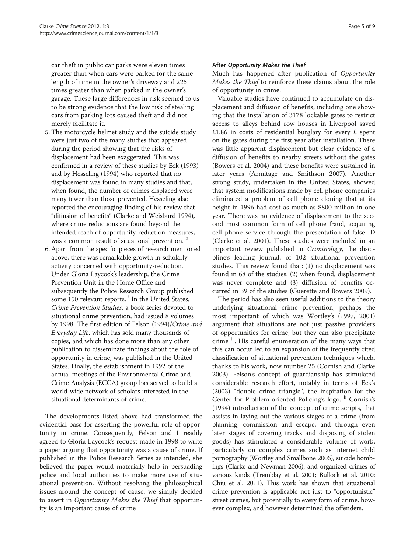car theft in public car parks were eleven times greater than when cars were parked for the same length of time in the owner's driveway and 225 times greater than when parked in the owner's garage. These large differences in risk seemed to us to be strong evidence that the low risk of stealing cars from parking lots caused theft and did not merely facilitate it.

- 5. The motorcycle helmet study and the suicide study were just two of the many studies that appeared during the period showing that the risks of displacement had been exaggerated. This was confirmed in a review of these studies by Eck ([1993\)](#page-7-0) and by Hesseling [\(1994](#page-7-0)) who reported that no displacement was found in many studies and that, when found, the number of crimes displaced were many fewer than those prevented. Hesseling also reported the encouraging finding of his review that "diffusion of benefits" (Clarke and Weisburd [1994\)](#page-7-0), where crime reductions are found beyond the intended reach of opportunity-reduction measures, was a common result of situational prevention. h
- 6. Apart from the specific pieces of research mentioned above, there was remarkable growth in scholarly activity concerned with opportunity-reduction. Under Gloria Laycock's leadership, the Crime Prevention Unit in the Home Office and subsequently the Police Research Group published some 150 relevant reports.<sup>i</sup> In the United States, Crime Prevention Studies, a book series devoted to situational crime prevention, had issued 8 volumes by 1998. The first edition of Felson [\(1994](#page-7-0))/Crime and Everyday Life, which has sold many thousands of copies, and which has done more than any other publication to disseminate findings about the role of opportunity in crime, was published in the United States. Finally, the establishment in 1992 of the annual meetings of the Environmental Crime and Crime Analysis (ECCA) group has served to build a world-wide network of scholars interested in the situational determinants of crime.

The developments listed above had transformed the evidential base for asserting the powerful role of opportunity in crime. Consequently, Felson and I readily agreed to Gloria Laycock's request made in 1998 to write a paper arguing that opportunity was a cause of crime. If published in the Police Research Series as intended, she believed the paper would materially help in persuading police and local authorities to make more use of situational prevention. Without resolving the philosophical issues around the concept of cause, we simply decided to assert in Opportunity Makes the Thief that opportunity is an important cause of crime

#### After Opportunity Makes the Thief

Much has happened after publication of Opportunity Makes the Thief to reinforce these claims about the role of opportunity in crime.

Valuable studies have continued to accumulate on displacement and diffusion of benefits, including one showing that the installation of 3178 lockable gates to restrict access to alleys behind row houses in Liverpool saved £1.86 in costs of residential burglary for every  $E$  spent on the gates during the first year after installation. There was little apparent displacement but clear evidence of a diffusion of benefits to nearby streets without the gates (Bowers et al. [2004](#page-7-0)) and these benefits were sustained in later years (Armitage and Smithson [2007](#page-7-0)). Another strong study, undertaken in the United States, showed that system modifications made by cell phone companies eliminated a problem of cell phone cloning that at its height in 1996 had cost as much as \$800 million in one year. There was no evidence of displacement to the second most common form of cell phone fraud, acquiring cell phone service through the presentation of false ID (Clarke et al. [2001](#page-7-0)). These studies were included in an important review published in Criminology, the discipline's leading journal, of 102 situational prevention studies. This review found that: (1) no displacement was found in 68 of the studies; (2) when found, displacement was never complete and (3) diffusion of benefits occurred in 39 of the studies (Guerette and Bowers [2009](#page-7-0)).

The period has also seen useful additions to the theory underlying situational crime prevention, perhaps the most important of which was Wortley's [\(1997](#page-8-0), [2001](#page-8-0)) argument that situations are not just passive providers of opportunities for crime, but they can also precipitate crime  $\prime$ . His careful enumeration of the many ways that this can occur led to an expansion of the frequently cited classification of situational prevention techniques which, thanks to his work, now number 25 (Cornish and Clarke [2003](#page-7-0)). Felson's concept of guardianship has stimulated considerable research effort, notably in terms of Eck's ([2003\)](#page-7-0) "double crime triangle", the inspiration for the Center for Problem-oriented Policing's logo. <sup>k</sup> Cornish's ([1994\)](#page-7-0) introduction of the concept of crime scripts, that assists in laying out the various stages of a crime (from planning, commission and escape, and through even later stages of covering tracks and disposing of stolen goods) has stimulated a considerable volume of work, particularly on complex crimes such as internet child pornography (Wortley and Smallbone [2006\)](#page-8-0), suicide bombings (Clarke and Newman [2006\)](#page-7-0), and organized crimes of various kinds (Tremblay et al. [2001](#page-8-0); Bullock et al. [2010](#page-7-0); Chiu et al. [2011\)](#page-7-0). This work has shown that situational crime prevention is applicable not just to "opportunistic" street crimes, but potentially to every form of crime, however complex, and however determined the offenders.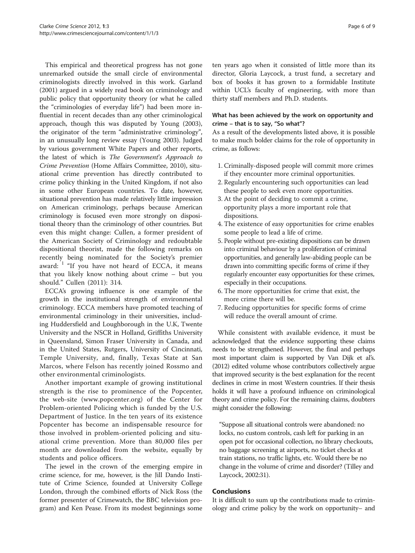This empirical and theoretical progress has not gone unremarked outside the small circle of environmental criminologists directly involved in this work. Garland ([2001](#page-7-0)) argued in a widely read book on criminology and public policy that opportunity theory (or what he called the "criminologies of everyday life") had been more influential in recent decades than any other criminological approach, though this was disputed by Young ([2003](#page-8-0)), the originator of the term "administrative criminology", in an unusually long review essay (Young [2003\)](#page-8-0). Judged by various government White Papers and other reports, the latest of which is The Government's Approach to Crime Prevention (Home Affairs Committee, [2010\)](#page-7-0), situational crime prevention has directly contributed to crime policy thinking in the United Kingdom, if not also in some other European countries. To date, however, situational prevention has made relatively little impression on American criminology, perhaps because American criminology is focused even more strongly on dispositional theory than the criminology of other countries. But even this might change: Cullen, a former president of the American Society of Criminology and redoubtable dispositional theorist, made the following remarks on recently being nominated for the Society's premier award:  $\frac{1}{1}$  "If you have not heard of ECCA, it means that you likely know nothing about crime – but you should." Cullen ([2011\)](#page-7-0): 314.

ECCA's growing influence is one example of the growth in the institutional strength of environmental criminology. ECCA members have promoted teaching of environmental criminology in their universities, including Huddersfield and Loughborough in the U.K, Twente University and the NSCR in Holland, Griffiths University in Queensland, Simon Fraser University in Canada, and in the United States, Rutgers, University of Cincinnati, Temple University, and, finally, Texas State at San Marcos, where Felson has recently joined Rossmo and other environmental criminologists.

Another important example of growing institutional strength is the rise to prominence of the Popcenter, the web-site ([www.popcenter.org\)](http://www.popcenter.org) of the Center for Problem-oriented Policing which is funded by the U.S. Department of Justice. In the ten years of its existence Popcenter has become an indispensable resource for those involved in problem-oriented policing and situational crime prevention. More than 80,000 files per month are downloaded from the website, equally by students and police officers.

The jewel in the crown of the emerging empire in crime science, for me, however, is the Jill Dando Institute of Crime Science, founded at University College London, through the combined efforts of Nick Ross (the former presenter of Crimewatch, the BBC television program) and Ken Pease. From its modest beginnings some

ten years ago when it consisted of little more than its director, Gloria Laycock, a trust fund, a secretary and box of books it has grown to a formidable Institute within UCL's faculty of engineering, with more than thirty staff members and Ph.D. students.

#### What has been achieved by the work on opportunity and crime – that is to say, "So what"?

As a result of the developments listed above, it is possible to make much bolder claims for the role of opportunity in crime, as follows:

- 1. Criminally-disposed people will commit more crimes if they encounter more criminal opportunities.
- 2. Regularly encountering such opportunities can lead these people to seek even more opportunities.
- 3. At the point of deciding to commit a crime, opportunity plays a more important role that dispositions.
- 4. The existence of easy opportunities for crime enables some people to lead a life of crime.
- 5. People without pre-existing dispositions can be drawn into criminal behaviour by a proliferation of criminal opportunities, and generally law-abiding people can be drawn into committing specific forms of crime if they regularly encounter easy opportunities for these crimes, especially in their occupations.
- 6. The more opportunities for crime that exist, the more crime there will be.
- 7. Reducing opportunities for specific forms of crime will reduce the overall amount of crime.

While consistent with available evidence, it must be acknowledged that the evidence supporting these claims needs to be strengthened. However, the final and perhaps most important claim is supported by Van Dijk et al's. ([2012\)](#page-8-0) edited volume whose contributors collectively argue that improved security is the best explanation for the recent declines in crime in most Western countries. If their thesis holds it will have a profound influence on criminological theory and crime policy. For the remaining claims, doubters might consider the following:

"Suppose all situational controls were abandoned: no locks, no custom controls, cash left for parking in an open pot for occasional collection, no library checkouts, no baggage screening at airports, no ticket checks at train stations, no traffic lights, etc. Would there be no change in the volume of crime and disorder? (Tilley and Laycock, [2002:](#page-8-0)31).

#### Conclusions

It is difficult to sum up the contributions made to criminology and crime policy by the work on opportunity– and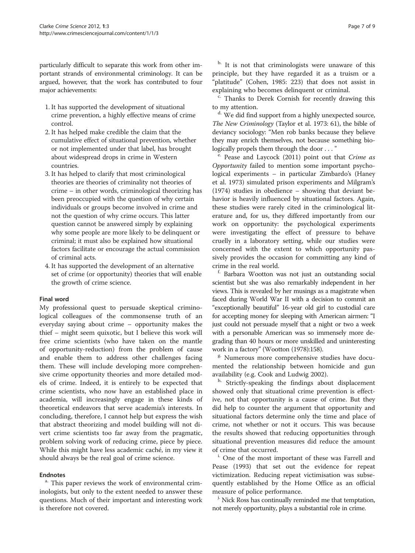particularly difficult to separate this work from other important strands of environmental criminology. It can be argued, however, that the work has contributed to four major achievements:

- 1. It has supported the development of situational crime prevention, a highly effective means of crime control.
- 2. It has helped make credible the claim that the cumulative effect of situational prevention, whether or not implemented under that label, has brought about widespread drops in crime in Western countries.
- 3. It has helped to clarify that most criminological theories are theories of criminality not theories of crime – in other words, criminological theorizing has been preoccupied with the question of why certain individuals or groups become involved in crime and not the question of why crime occurs. This latter question cannot be answered simply by explaining why some people are more likely to be delinquent or criminal; it must also be explained how situational factors facilitate or encourage the actual commission of criminal acts.
- 4. It has supported the development of an alternative set of crime (or opportunity) theories that will enable the growth of crime science.

#### Final word

My professional quest to persuade skeptical criminological colleagues of the commonsense truth of an everyday saying about crime – opportunity makes the thief – might seem quixotic, but I believe this work will free crime scientists (who have taken on the mantle of opportunity-reduction) from the problem of cause and enable them to address other challenges facing them. These will include developing more comprehensive crime opportunity theories and more detailed models of crime. Indeed, it is entirely to be expected that crime scientists, who now have an established place in academia, will increasingly engage in these kinds of theoretical endeavors that serve academia's interests. In concluding, therefore, I cannot help but express the wish that abstract theorizing and model building will not divert crime scientists too far away from the pragmatic, problem solving work of reducing crime, piece by piece. While this might have less academic caché, in my view it should always be the real goal of crime science.

#### Endnotes

a. This paper reviews the work of environmental criminologists, but only to the extent needed to answer these questions. Much of their important and interesting work is therefore not covered.

<sup>b.</sup> It is not that criminologists were unaware of this principle, but they have regarded it as a truism or a "platitude" (Cohen, [1985:](#page-7-0) 223) that does not assist in explaining who becomes delinquent or criminal.<br><sup>c.</sup> Thanks to Derek Cornish for recently drawing this

to my attention.

<sup>d.</sup> We did find support from a highly unexpected source, The New Criminology (Taylor et al. [1973](#page-8-0): 61), the bible of deviancy sociology: "Men rob banks because they believe they may enrich themselves, not because something biologically propels them through the door  $\dots$  "<br><sup>e.</sup> Pease and Laycock [\(2011\)](#page-8-0) point out that *Crime as* 

Opportunity failed to mention some important psychological experiments – in particular Zimbardo's (Haney et al. [1973\)](#page-7-0) simulated prison experiments and Milgram's ([1974\)](#page-7-0) studies in obedience – showing that deviant behavior is heavily influenced by situational factors. Again, these studies were rarely cited in the criminological literature and, for us, they differed importantly from our work on opportunity: the psychological experiments were investigating the effect of pressure to behave cruelly in a laboratory setting, while our studies were concerned with the extent to which opportunity passively provides the occasion for committing any kind of crime in the real world.

f. Barbara Wootton was not just an outstanding social scientist but she was also remarkably independent in her views. This is revealed by her musings as a magistrate when faced during World War II with a decision to commit an "exceptionally beautiful" 16-year old girl to custodial care for accepting money for sleeping with American airmen: "I just could not persuade myself that a night or two a week with a personable American was so immensely more degrading than 40 hours or more unskilled and uninteresting work in a factory" (Wootton [\(1978](#page-8-0)):158).

<sup>g.</sup> Numerous more comprehensive studies have documented the relationship between homicide and gun availability (e.g. Cook and Ludwig [2002\)](#page-7-0).

h. Strictly-speaking the findings about displacement showed only that situational crime prevention is effective, not that opportunity is a cause of crime. But they did help to counter the argument that opportunity and situational factors determine only the time and place of crime, not whether or not it occurs. This was because the results showed that reducing opportunities through situational prevention measures did reduce the amount of crime that occurred.<br><sup>i.</sup> One of the most important of these was Farrell and

Pease ([1993\)](#page-7-0) that set out the evidence for repeat victimization. Reducing repeat victimisation was subsequently established by the Home Office as an official measure of police performance.

<sup>j.</sup> Nick Ross has continually reminded me that temptation, not merely opportunity, plays a substantial role in crime.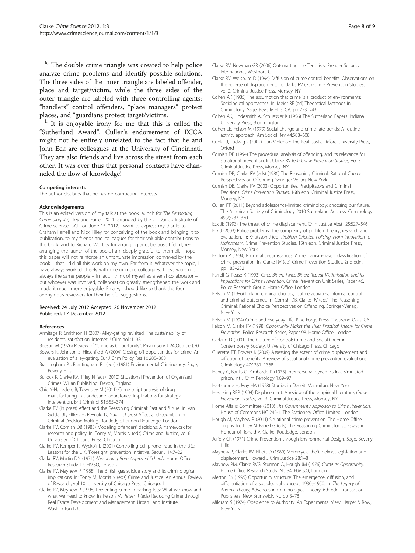<span id="page-7-0"></span><sup>k.</sup> The double crime triangle was created to help police analyze crime problems and identify possible solutions. The three sides of the inner triangle are labeled offender, place and target/victim, while the three sides of the outer triangle are labeled with three controlling agents: "handlers" control offenders, "place managers" protect places, and "guardians protect target/victims.

l. It is enjoyable irony for me that this is called the "Sutherland Award". Cullen's endorsement of ECCA might not be entirely unrelated to the fact that he and John Eck are colleagues at the University of Cincinnati. They are also friends and live across the street from each other. It was ever thus that personal contacts have channeled the flow of knowledge!

#### Competing interests

The author declares that he has no competing interests.

#### Acknowledgements

This is an edited version of my talk at the book launch for The Reasoning Criminologist (Tilley and Farrell 2011) arranged by the Jill Dando Institute of Crime science, UCL, on June 15, 2012. I want to express my thanks to Graham Farrell and Nick Tilley for conceiving of the book and bringing it to publication, to my friends and colleagues for their valuable contributions to the book, and to Richard Wortley for arranging and, because I fell ill, rearranging the launch of the book. I am deeply grateful to them all. I hope this paper will not reinforce an unfortunate impression conveyed by the book – that I did all this work on my own. Far from it. Whatever the topic, I have always worked closely with one or more colleagues. These were not always the same people – in fact, I think of myself as a serial collaborator – but whoever was involved, collaboration greatly strengthened the work and made it much more enjoyable. Finally, I should like to thank the four anonymous reviewers for their helpful suggestions.

#### Received: 24 July 2012 Accepted: 26 November 2012 Published: 17 December 2012

#### References

- Armitage R, Smithson H (2007) Alley-gating revisited: The sustainability of residents' satisfaction. Internet J Criminol :1–38
- Beeson M (1976) Review of "Crime as Opportunity". Prison Serv J 24(October):20 Bowers K, Johnson S, Hirschfield A (2004) Closing off opportunities for crime: An evaluation of alley-gating. Eur J Crim Policy Res 10:285–308
- Brantingham PJ, Brantingham PL (eds) (1981) Environmental Criminology. Sage, Beverly Hills
- Bullock K, Clarke RV, Tilley N (eds) (2010) Situational Prevention of Organized Crimes. Willan Publishing, Devon, England
- Chiu Y-N, Leclerc B, Townsley M (2011) Crime script analysis of drug manufacturing in clandestine laboratories: Implications for strategic intervention. Br J Criminol 51:355–374
- Clarke RV (In press) Affect and the Reasoning Criminal: Past and future. In: van Gelder JL, Elffers H, Reynald D, Nagin D (eds) Affect and Cognition in Criminal Decision Making. Routledge. London Routledge, London
- Clarke RV, Cornish DB (1985) Modeling offenders' decisions: A framework for research and policy. In: Tonry M, Morris N (eds) Crime and Justice, vol 6. University of Chicago Press, Chicago
- Clarke RV, Kemper R, Wyckoff L (2001) Controlling cell phone fraud in the U.S.: Lessons for the U.K. 'Foresight' prevention initiative. Secur J 14:7–22
- Clarke RV, Martin DN (1971) Absconding from Approved Schools. Home Office Research Study 12. HMSO, London
- Clarke RV, Mayhew P (1988) The British gas suicide story and its criminological implications. In: Tonry M, Morris N (eds) Crime and Justice: An Annual Review of Research, vol 10. University of Chicago Press, Chicago, IL
- Clarke RV, Mayhew P (1998) Preventing crime in parking lots: What we know and what we need to know. In: Felson M, Peiser R (eds) Reducing Crime through Real Estate Development and Management. Urban Land Institute, Washington D.C
- Clarke RV, Newman GR (2006) Outsmarting the Terrorists. Preager Security International, Westport, CT
- Clarke RV, Weisburd D (1994) Diffusion of crime control benefits: Observations on the reverse of displacement. In: Clarke RV (ed) Crime Prevention Studies, vol 2. Criminal Justice Press, Monsey, NY
- Cohen AK (1985) The assumption that crime is a product of environments: Sociological approaches. In: Meier RF (ed) Theoretical Methods in Criminology. Sage, Beverly Hills, CA, pp 223–243
- Cohen AK, Lindesmith A, Schuessler K (1956) The Sutherland Papers. Indiana University Press, Bloomington
- Cohen LE, Felson M (1979) Social change and crime rate trends: A routine activity approach. Am Sociol Rev 44:588–608
- Cook PJ, Ludwig J (2002) Gun Violence: The Real Costs. Oxford University Press, Oxford
- Cornish DB (1994) The procedural analysis of offending, and its relevance for situational prevention. In: Clarke RV (ed) Crime Prevention Studies, Vol 3. Criminal Justice Press, Monsey, NY
- Cornish DB, Clarke RV (eds) (1986) The Reasoning Criminal: Rational Choice Perspectives on Offending. Springer-Verlag, New York
- Cornish DB, Clarke RV (2003) Opportunities, Precipitators and Criminal Decisions. Crime Prevention Studies, 16th edn. Criminal Justice Press, Monsey, NY
- Cullen FT (2011) Beyond adolescence-limited criminology: choosing our future. The American Society of Criminology 2010 Sutherland Address. Criminology 49(2):287–330
- Eck JE (1993) The threat of crime displacement. Crim Justice Abstr 25:527–546
- Eck J (2003) Police problems: The complexity of problem theory, research and evaluation. In: Knutsson J (ed) Problem-Oriented Policing: From Innovation to Mainstream. Crime Prevention Studies, 15th edn. Criminal Justice Press, Monsey, New York
- Ekblom P (1994) Proximal circumstances: A mechanism-based classification of crime prevention. In: Clarke RV (ed) Crime Prevention Studies, 2nd edn., pp 185–232
- Farrell G, Pease K (1993) Once Bitten, Twice Bitten: Repeat Victimisation and its Implications for Crime Prevention. Crime Prevention Unit Series, Paper 46. Police Research Group. Home Office, London
- Felson M (1986) Linking criminal choices, routine activities, informal control and criminal outcomes. In: Cornish DB, Clarke RV (eds) The Reasoning Criminal: Rational Choice Perspectives on Offending. Springer-Verlag, New York
- Felson M (1994) Crime and Everyday Life. Pine Forge Press, Thousand Oaks, CA Felson M, Clarke RV (1998) Opportunity Makes the Thief: Practical Theory for Crime
- Prevention. Police Research Series, Paper 98. Home Office, London Garland D (2001) The Culture of Control: Crime and Social Order in
- Contemporary Society. University of Chicago Press, Chicago Guerette RT, Bowers K (2009) Assessing the extent of crime displacement and diffusion of benefits: A review of situational crime prevention evaluations. Criminology 47:1331–1368
- Haney C, Banks C, Zimbardo P (1973) Interpersonal dynamics in a simulated prison. Int J Crim Penology 1:69–97
- Hartshorne H, May HA (1928) Studies in Deceit. Macmillan, New York

Hesseling RBP (1994) Displacement: A review of the empirical literature, Crime Prevention Studies, vol 3. Criminal Justice Press, Monsey, NY

- Home Affairs Committee (2010) The Government's Approach to Crime Prevention. House of Commons HC 242-1. The Stationery Office Limited, London
- Hough M, Mayhew P (2011) Situational crime prevention: The Home Office origins. In: Tilley N, Farrell G (eds) The Reasoning Criminologist: Essays in Honour of Ronald V. Clarke. Routledge, London
- Jeffery CR (1971) Crime Prevention through Environmental Design. Sage, Beverly Hills
- Mayhew P, Clarke RV, Elliott D (1989) Motorcycle theft, helmet legislation and displacement. Howard J Crim Justice 28:1–8
- Mayhew PM, Clarke RVG, Sturman A, Hough JM (1976) Crime as Opportunity. Home Office Research Study, No 34. H.M.S.O, London
- Merton RK (1995) Opportunity structure: The emergence, diffusion, and differentiation of a sociological concept, 1930s-1950. In: The Legacy of Anomie Theory, Advances in Criminological Theory, 6th edn. Transaction Publishers, New Brunswick, NJ, pp 3–78
- Milgram S (1974) Obedience to Authority: An Experimental View. Harper & Row, New York